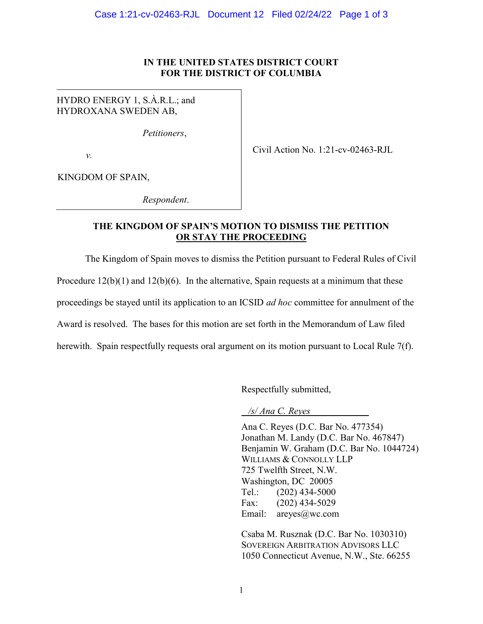## IN THE UNITED STATES DISTRICT COURT FOR THE DISTRICT OF COLUMBIA

HYDRO ENERGY 1, S.À.R.L.; and HYDROXANA SWEDEN AB,

Petitioners,

v.

Civil Action No. 1:21-cv-02463-RJL

KINGDOM OF SPAIN,

Respondent.

## THE KINGDOM OF SPAIN'S MOTION TO DISMISS THE PETITION OR STAY THE PROCEEDING

The Kingdom of Spain moves to dismiss the Petition pursuant to Federal Rules of Civil Procedure  $12(b)(1)$  and  $12(b)(6)$ . In the alternative, Spain requests at a minimum that these proceedings be stayed until its application to an ICSID *ad hoc* committee for annulment of the Award is resolved. The bases for this motion are set forth in the Memorandum of Law filed herewith. Spain respectfully requests oral argument on its motion pursuant to Local Rule 7(f).

Respectfully submitted,

/s/ Ana C. Reyes

Ana C. Reyes (D.C. Bar No. 477354) Jonathan M. Landy (D.C. Bar No. 467847) Benjamin W. Graham (D.C. Bar No. 1044724) WILLIAMS & CONNOLLY LLP 725 Twelfth Street, N.W. Washington, DC 20005 Tel.: (202) 434-5000 Fax: (202) 434-5029 Email: areyes@wc.com

Csaba M. Rusznak (D.C. Bar No. 1030310) SOVEREIGN ARBITRATION ADVISORS LLC 1050 Connecticut Avenue, N.W., Ste. 66255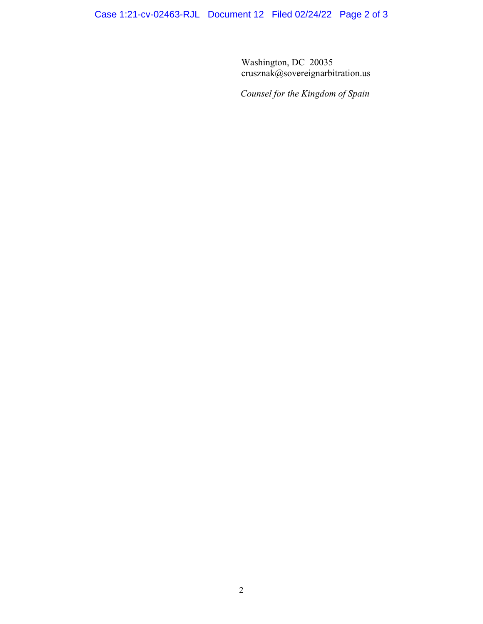Case 1:21-cv-02463-RJL Document 12 Filed 02/24/22 Page 2 of 3

Washington, DC 20035 crusznak@sovereignarbitration.us

Counsel for the Kingdom of Spain